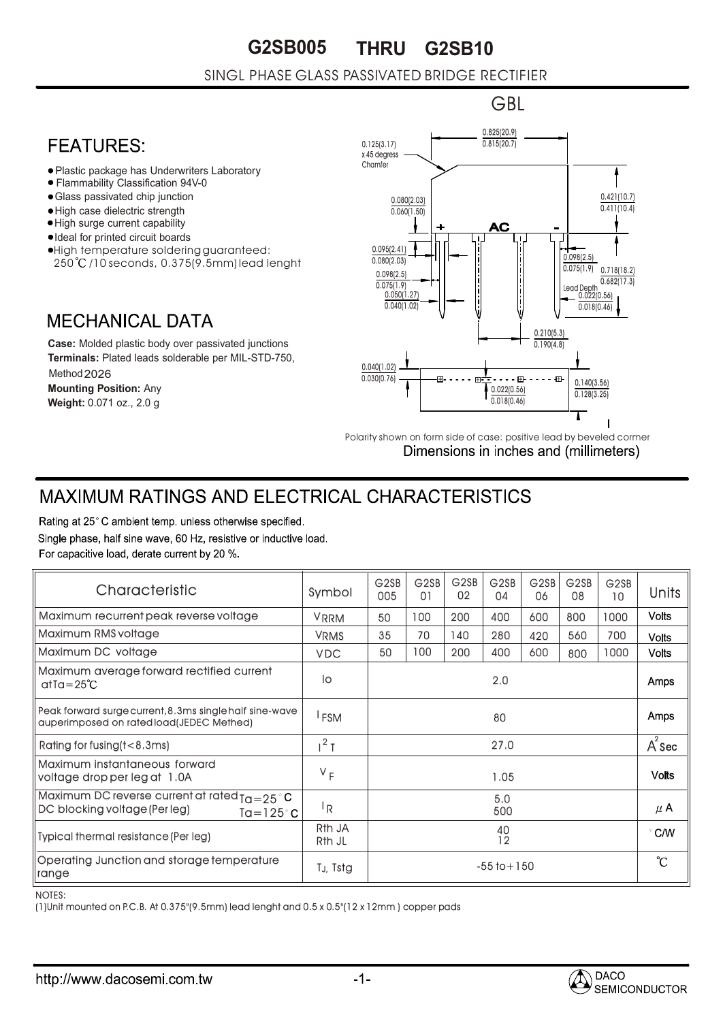**G2SB005 THRU G2SB10**

#### SINGL PHASE GLASS PASSIVATED BRIDGE RECTIFIER

## **FFATURFS:**

- Plastic package has Underwriters Laboratory
- Flammability Classification 94V-0
- Glass passivated chip junction
- High case dielectric strength
- High surge current capability
- Ideal for printed circuit boards
- High temperature soldering guaranteed: 250 /10 seconds, 0.375(9.5mm) lead lenght

### **MECHANICAL DATA**

**Case:** Molded plastic body over passivated junctions **Terminals:** Plated leads solderable per MIL-STD-750, Method 2026 **Mounting Position:** Any **Weight:** 0.071 oz., 2.0 g



Polarity shown on form side of case: positive lead by beveled cormer Dimensions in inches and (millimeters)

# **MAXIMUM RATINGS AND ELECTRICAL CHARACTERISTICS**

Rating at 25°C ambient temp. unless otherwise specified. Single phase, half sine wave, 60 Hz, resistive or inductive load. For capacitive load, derate current by 20 %.

| Characteristic                                                                                               | Symbol                                   | G <sub>2</sub> SB<br>005 | G <sub>2</sub> SB<br>01 | G <sub>2</sub> SB<br>02 | G <sub>2</sub> SB<br>04 | G <sub>2</sub> SB<br>06 | G <sub>2</sub> SB<br>08 | G <sub>2</sub> SB<br>10 | Units         |
|--------------------------------------------------------------------------------------------------------------|------------------------------------------|--------------------------|-------------------------|-------------------------|-------------------------|-------------------------|-------------------------|-------------------------|---------------|
| Maximum recurrent peak reverse voltage                                                                       | <b>VRRM</b>                              | 50                       | 100                     | 200                     | 400                     | 600                     | 800                     | 1000                    | <b>Volts</b>  |
| Maximum RMS voltage                                                                                          | <b>VRMS</b>                              | 35                       | 70                      | 140                     | 280                     | 420                     | 560                     | 700                     | <b>Volts</b>  |
| Maximum DC voltage                                                                                           | <b>VDC</b>                               | 50                       | 100                     | 200                     | 400                     | 600                     | 800                     | 1000                    | <b>Volts</b>  |
| Maximum average forward rectified current<br>$at a = 25^{\circ}C$                                            | lo                                       | 2.0                      |                         |                         |                         |                         |                         |                         | Amps          |
| Peak forward surge current, 8.3ms single half sine-wave<br>auperimposed on rated load(JEDEC Methed)          | <b>FSM</b>                               | 80                       |                         |                         |                         |                         |                         |                         | <b>Amps</b>   |
| Rating for fusing (t < 8.3ms)                                                                                | $1^2$ T                                  | 27.0                     |                         |                         |                         |                         |                         |                         | $A^2$ Sec     |
| Maximum instantaneous forward<br>voltage drop per leg at 1.0A                                                | $V_F$                                    | 1.05                     |                         |                         |                         |                         |                         |                         | <b>Volts</b>  |
| Maximum DC reverse current at rated $a = 25^\circ C$<br>DC blocking voltage (Per leg)<br>$Ta = 125^{\circ}C$ | <sup> </sup> R                           | 5.0<br>500               |                         |                         |                         |                         |                         |                         | $\mu$ A       |
| Typical thermal resistance (Per leg)                                                                         | R <sub>th</sub> JA<br>R <sub>th</sub> JL | 40<br>12                 |                         |                         |                         |                         |                         |                         | $\degree$ C/W |
| Operating Junction and storage temperature<br>range                                                          | T <sub>J</sub> , Tstg                    | $-55$ to $+150$          |                         |                         |                         |                         |                         |                         | °C            |

NOTES:

(1)Unit mounted on P.C.B. At 0.375"(9.5mm) lead lenght and 0.5 x 0.5"(12 x 12mm ) copper pads